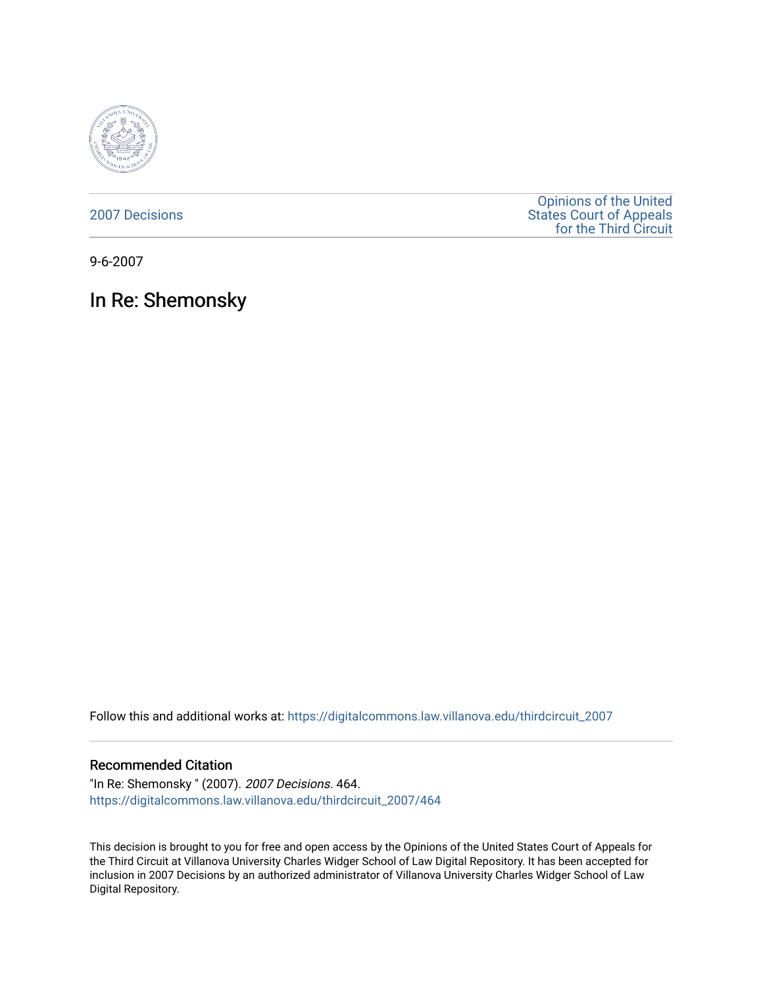

[2007 Decisions](https://digitalcommons.law.villanova.edu/thirdcircuit_2007)

[Opinions of the United](https://digitalcommons.law.villanova.edu/thirdcircuit)  [States Court of Appeals](https://digitalcommons.law.villanova.edu/thirdcircuit)  [for the Third Circuit](https://digitalcommons.law.villanova.edu/thirdcircuit) 

9-6-2007

In Re: Shemonsky

Follow this and additional works at: [https://digitalcommons.law.villanova.edu/thirdcircuit\\_2007](https://digitalcommons.law.villanova.edu/thirdcircuit_2007?utm_source=digitalcommons.law.villanova.edu%2Fthirdcircuit_2007%2F464&utm_medium=PDF&utm_campaign=PDFCoverPages) 

## Recommended Citation

"In Re: Shemonsky " (2007). 2007 Decisions. 464. [https://digitalcommons.law.villanova.edu/thirdcircuit\\_2007/464](https://digitalcommons.law.villanova.edu/thirdcircuit_2007/464?utm_source=digitalcommons.law.villanova.edu%2Fthirdcircuit_2007%2F464&utm_medium=PDF&utm_campaign=PDFCoverPages)

This decision is brought to you for free and open access by the Opinions of the United States Court of Appeals for the Third Circuit at Villanova University Charles Widger School of Law Digital Repository. It has been accepted for inclusion in 2007 Decisions by an authorized administrator of Villanova University Charles Widger School of Law Digital Repository.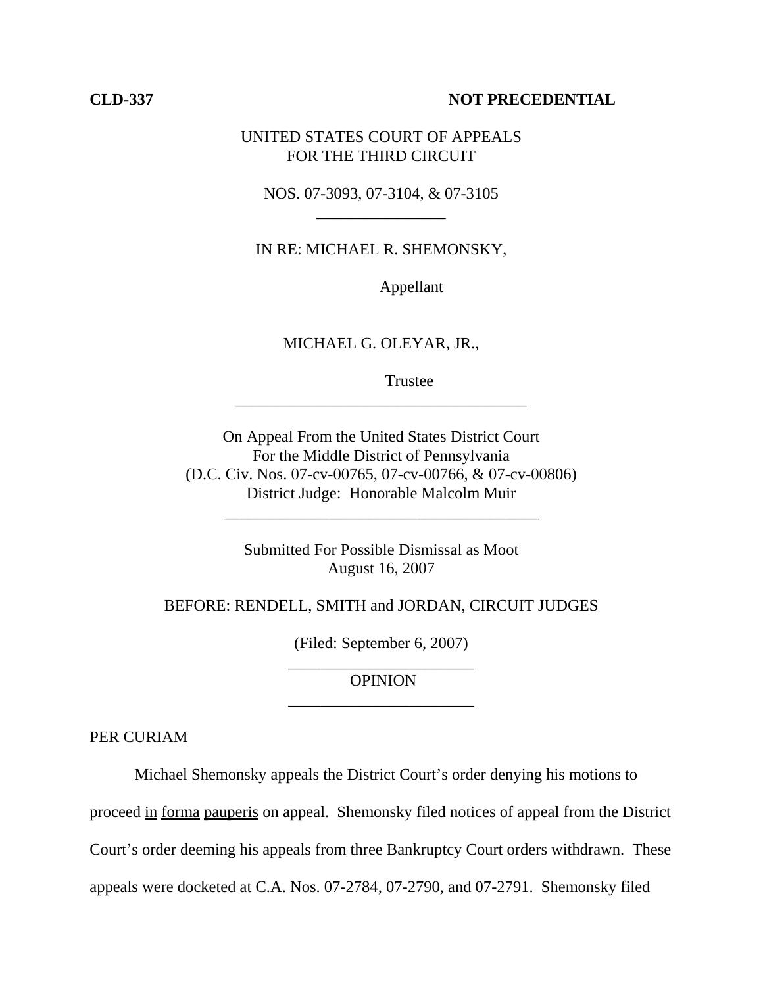## **CLD-337 NOT PRECEDENTIAL**

## UNITED STATES COURT OF APPEALS FOR THE THIRD CIRCUIT

NOS. 07-3093, 07-3104, & 07-3105 \_\_\_\_\_\_\_\_\_\_\_\_\_\_\_\_

IN RE: MICHAEL R. SHEMONSKY,

Appellant

MICHAEL G. OLEYAR, JR.,

\_\_\_\_\_\_\_\_\_\_\_\_\_\_\_\_\_\_\_\_\_\_\_\_\_\_\_\_\_\_\_\_\_\_\_\_

Trustee

On Appeal From the United States District Court For the Middle District of Pennsylvania (D.C. Civ. Nos. 07-cv-00765, 07-cv-00766, & 07-cv-00806) District Judge: Honorable Malcolm Muir

> Submitted For Possible Dismissal as Moot August 16, 2007

\_\_\_\_\_\_\_\_\_\_\_\_\_\_\_\_\_\_\_\_\_\_\_\_\_\_\_\_\_\_\_\_\_\_\_\_\_\_\_

BEFORE: RENDELL, SMITH and JORDAN, CIRCUIT JUDGES

(Filed: September 6, 2007) \_\_\_\_\_\_\_\_\_\_\_\_\_\_\_\_\_\_\_\_\_\_\_

 OPINION \_\_\_\_\_\_\_\_\_\_\_\_\_\_\_\_\_\_\_\_\_\_\_

PER CURIAM

Michael Shemonsky appeals the District Court's order denying his motions to

proceed in forma pauperis on appeal. Shemonsky filed notices of appeal from the District

Court's order deeming his appeals from three Bankruptcy Court orders withdrawn. These

appeals were docketed at C.A. Nos. 07-2784, 07-2790, and 07-2791. Shemonsky filed